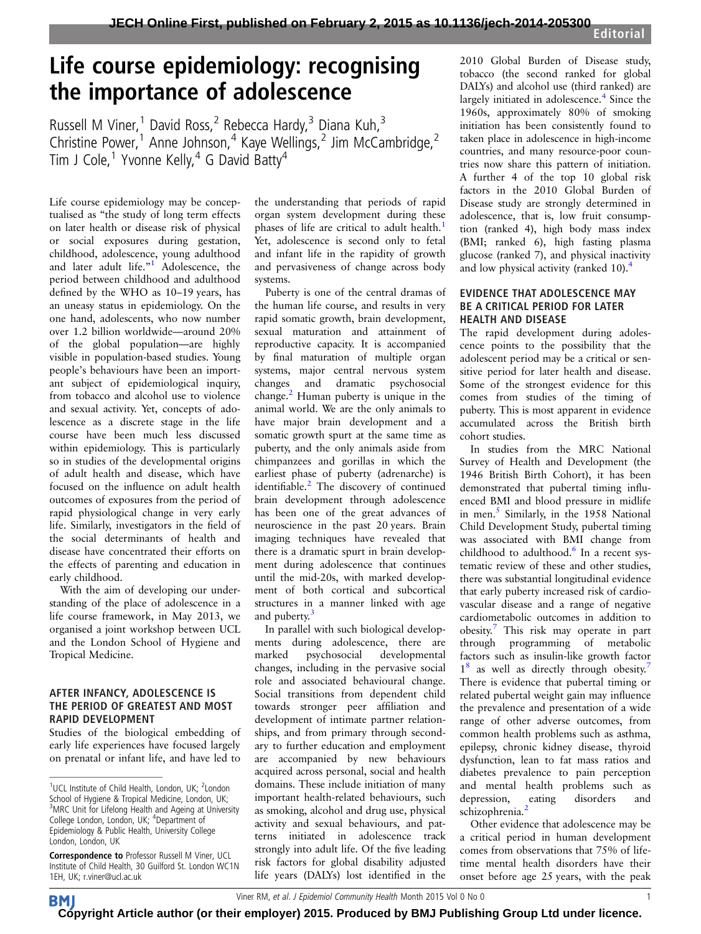# Life course epidemiology: recognising the importance of adolescence

Russell M Viner,<sup>1</sup> David Ross,<sup>2</sup> Rebecca Hardy,<sup>3</sup> Diana Kuh,<sup>3</sup> Christine Power,<sup>1</sup> Anne Johnson,<sup>4</sup> Kaye Wellings,<sup>2</sup> Jim McCambridge,<sup>2</sup> Tim J Cole,<sup>1</sup> Yvonne Kelly,<sup>4</sup> G David Batty<sup>4</sup>

Life course epidemiology may be conceptualised as "the study of long term effects on later health or disease risk of physical or social exposures during gestation, childhood, adolescence, young adulthood and later adult life."<sup>[1](#page-1-0)</sup> Adolescence, the period between childhood and adulthood defined by the WHO as 10–19 years, has an uneasy status in epidemiology. On the one hand, adolescents, who now number over 1.2 billion worldwide—around 20% of the global population—are highly visible in population-based studies. Young people's behaviours have been an important subject of epidemiological inquiry, from tobacco and alcohol use to violence and sexual activity. Yet, concepts of adolescence as a discrete stage in the life course have been much less discussed within epidemiology. This is particularly so in studies of the developmental origins of adult health and disease, which have focused on the influence on adult health outcomes of exposures from the period of rapid physiological change in very early life. Similarly, investigators in the field of the social determinants of health and disease have concentrated their efforts on the effects of parenting and education in early childhood.

With the aim of developing our understanding of the place of adolescence in a life course framework, in May 2013, we organised a joint workshop between UCL and the London School of Hygiene and Tropical Medicine.

## AFTER INFANCY, ADOLESCENCE IS THE PERIOD OF GREATEST AND MOST RAPID DEVELOPMENT

Studies of the biological embedding of early life experiences have focused largely on prenatal or infant life, and have led to the understanding that periods of rapid organ system development during these phases of life are critical to adult health. $<sup>1</sup>$  $<sup>1</sup>$  $<sup>1</sup>$ </sup> Yet, adolescence is second only to fetal and infant life in the rapidity of growth and pervasiveness of change across body systems.

Puberty is one of the central dramas of the human life course, and results in very rapid somatic growth, brain development, sexual maturation and attainment of reproductive capacity. It is accompanied by final maturation of multiple organ systems, major central nervous system changes and dramatic psychosocial change[.2](#page-1-0) Human puberty is unique in the animal world. We are the only animals to have major brain development and a somatic growth spurt at the same time as puberty, and the only animals aside from chimpanzees and gorillas in which the earliest phase of puberty (adrenarche) is identifiable.<sup>[2](#page-1-0)</sup> The discovery of continued brain development through adolescence has been one of the great advances of neuroscience in the past 20 years. Brain imaging techniques have revealed that there is a dramatic spurt in brain development during adolescence that continues until the mid-20s, with marked development of both cortical and subcortical structures in a manner linked with age and puberty.

In parallel with such biological developments during adolescence, there are<br>marked psychosocial developmental marked psychosocial developmental changes, including in the pervasive social role and associated behavioural change. Social transitions from dependent child towards stronger peer affiliation and development of intimate partner relationships, and from primary through secondary to further education and employment are accompanied by new behaviours acquired across personal, social and health domains. These include initiation of many important health-related behaviours, such as smoking, alcohol and drug use, physical activity and sexual behaviours, and patterns initiated in adolescence track strongly into adult life. Of the five leading risk factors for global disability adjusted life years (DALYs) lost identified in the

2010 Global Burden of Disease study, tobacco (the second ranked for global DALYs) and alcohol use (third ranked) are largely initiated in adolescence.<sup>[4](#page-1-0)</sup> Since the 1960s, approximately 80% of smoking initiation has been consistently found to taken place in adolescence in high-income countries, and many resource-poor countries now share this pattern of initiation. A further 4 of the top 10 global risk factors in the 2010 Global Burden of Disease study are strongly determined in adolescence, that is, low fruit consumption (ranked 4), high body mass index (BMI; ranked 6), high fasting plasma glucose (ranked 7), and physical inactivity and low physical activity (ranked 10)[.4](#page-1-0)

# EVIDENCE THAT ADOLESCENCE MAY BE A CRITICAL PERIOD FOR LATER HEALTH AND DISEASE

The rapid development during adolescence points to the possibility that the adolescent period may be a critical or sensitive period for later health and disease. Some of the strongest evidence for this comes from studies of the timing of puberty. This is most apparent in evidence accumulated across the British birth cohort studies.

In studies from the MRC National Survey of Health and Development (the 1946 British Birth Cohort), it has been demonstrated that pubertal timing influenced BMI and blood pressure in midlife in men.<sup>[5](#page-1-0)</sup> Similarly, in the 1958 National Child Development Study, pubertal timing was associated with BMI change from childhood to adulthood.<sup>[6](#page-1-0)</sup> In a recent systematic review of these and other studies, there was substantial longitudinal evidence that early puberty increased risk of cardiovascular disease and a range of negative cardiometabolic outcomes in addition to obesity.[7](#page-1-0) This risk may operate in part through programming of metabolic factors such as insulin-like growth factor  $1<sup>8</sup>$  $1<sup>8</sup>$  $1<sup>8</sup>$  as well as directly through obesity.<sup>[7](#page-1-0)</sup> There is evidence that pubertal timing or related pubertal weight gain may influence the prevalence and presentation of a wide range of other adverse outcomes, from common health problems such as asthma, epilepsy, chronic kidney disease, thyroid dysfunction, lean to fat mass ratios and diabetes prevalence to pain perception and mental health problems such as depression, eating disorders and schizophrenia.<sup>[2](#page-1-0)</sup>

Other evidence that adolescence may be a critical period in human development comes from observations that 75% of lifetime mental health disorders have their onset before age 25 years, with the peak

**BMI [Cop](http://jech.bmj.com)yright Article author (or their employer) 2015. Produced by BMJ Publishing Group Ltd under licence.** 

<sup>&</sup>lt;sup>1</sup>UCL Institute of Child Health, London, UK; <sup>2</sup>London School of Hygiene & Tropical Medicine, London, UK; <sup>3</sup>MRC Unit for Lifelong Health and Ageing at University College London, London, UK; <sup>4</sup>Department of Epidemiology & Public Health, University College London, London, UK

Correspondence to Professor Russell M Viner, UCL Institute of Child Health, 30 Guilford St. London WC1N 1EH, UK; r.viner@ucl.ac.uk